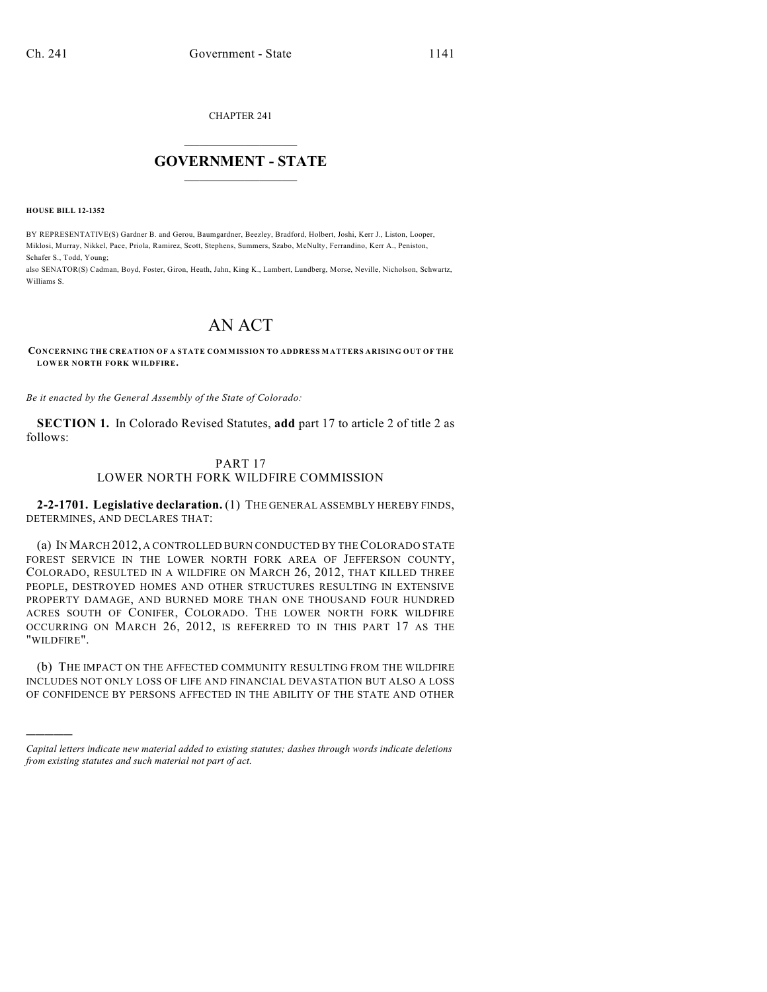CHAPTER 241

## $\mathcal{L}_\text{max}$  . The set of the set of the set of the set of the set of the set of the set of the set of the set of the set of the set of the set of the set of the set of the set of the set of the set of the set of the set **GOVERNMENT - STATE**  $\_$   $\_$   $\_$   $\_$   $\_$   $\_$   $\_$   $\_$

**HOUSE BILL 12-1352**

)))))

BY REPRESENTATIVE(S) Gardner B. and Gerou, Baumgardner, Beezley, Bradford, Holbert, Joshi, Kerr J., Liston, Looper, Miklosi, Murray, Nikkel, Pace, Priola, Ramirez, Scott, Stephens, Summers, Szabo, McNulty, Ferrandino, Kerr A., Peniston, Schafer S., Todd, Young;

also SENATOR(S) Cadman, Boyd, Foster, Giron, Heath, Jahn, King K., Lambert, Lundberg, Morse, Neville, Nicholson, Schwartz, Williams S.

# AN ACT

#### **CONCERNING THE CREATION OF A STATE COMMISSION TO ADDRESS MATTERS ARISING OUT OF THE LOWER NORTH FORK WILDFIRE.**

*Be it enacted by the General Assembly of the State of Colorado:*

**SECTION 1.** In Colorado Revised Statutes, **add** part 17 to article 2 of title 2 as follows:

## PART 17

### LOWER NORTH FORK WILDFIRE COMMISSION

**2-2-1701. Legislative declaration.** (1) THE GENERAL ASSEMBLY HEREBY FINDS, DETERMINES, AND DECLARES THAT:

(a) IN MARCH 2012, A CONTROLLED BURN CONDUCTED BY THECOLORADO STATE FOREST SERVICE IN THE LOWER NORTH FORK AREA OF JEFFERSON COUNTY, COLORADO, RESULTED IN A WILDFIRE ON MARCH 26, 2012, THAT KILLED THREE PEOPLE, DESTROYED HOMES AND OTHER STRUCTURES RESULTING IN EXTENSIVE PROPERTY DAMAGE, AND BURNED MORE THAN ONE THOUSAND FOUR HUNDRED ACRES SOUTH OF CONIFER, COLORADO. THE LOWER NORTH FORK WILDFIRE OCCURRING ON MARCH 26, 2012, IS REFERRED TO IN THIS PART 17 AS THE "WILDFIRE".

(b) THE IMPACT ON THE AFFECTED COMMUNITY RESULTING FROM THE WILDFIRE INCLUDES NOT ONLY LOSS OF LIFE AND FINANCIAL DEVASTATION BUT ALSO A LOSS OF CONFIDENCE BY PERSONS AFFECTED IN THE ABILITY OF THE STATE AND OTHER

*Capital letters indicate new material added to existing statutes; dashes through words indicate deletions from existing statutes and such material not part of act.*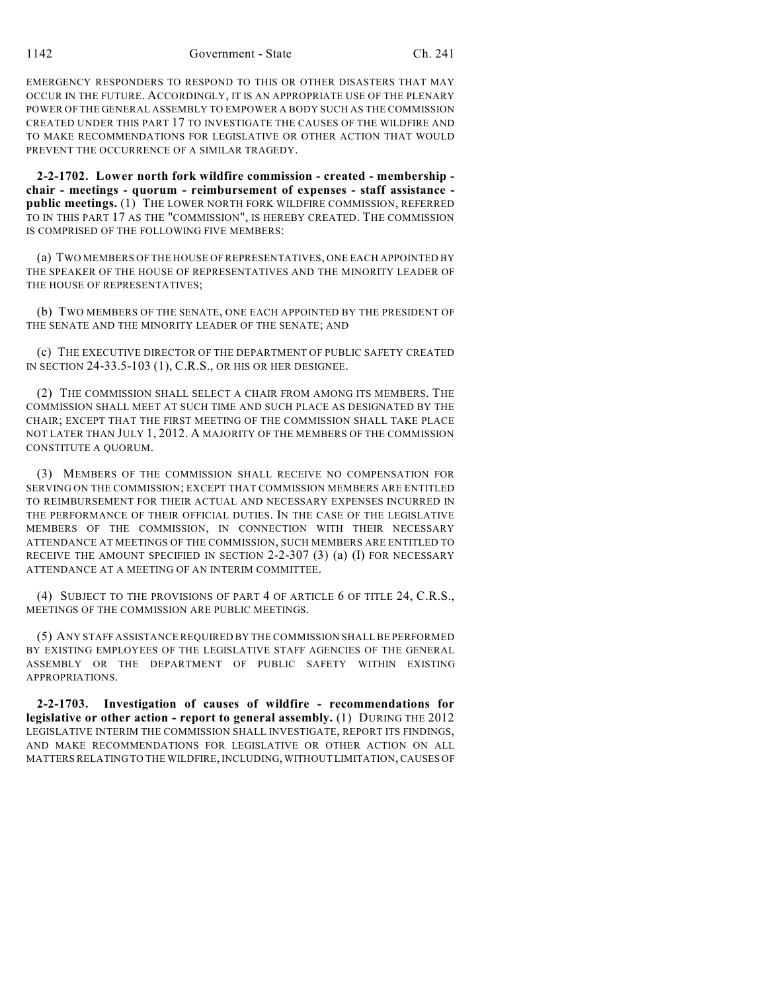EMERGENCY RESPONDERS TO RESPOND TO THIS OR OTHER DISASTERS THAT MAY OCCUR IN THE FUTURE. ACCORDINGLY, IT IS AN APPROPRIATE USE OF THE PLENARY POWER OF THE GENERAL ASSEMBLY TO EMPOWER A BODY SUCH AS THE COMMISSION CREATED UNDER THIS PART 17 TO INVESTIGATE THE CAUSES OF THE WILDFIRE AND TO MAKE RECOMMENDATIONS FOR LEGISLATIVE OR OTHER ACTION THAT WOULD PREVENT THE OCCURRENCE OF A SIMILAR TRAGEDY.

**2-2-1702. Lower north fork wildfire commission - created - membership chair - meetings - quorum - reimbursement of expenses - staff assistance public meetings.** (1) THE LOWER NORTH FORK WILDFIRE COMMISSION, REFERRED TO IN THIS PART 17 AS THE "COMMISSION", IS HEREBY CREATED. THE COMMISSION IS COMPRISED OF THE FOLLOWING FIVE MEMBERS:

(a) TWO MEMBERS OF THE HOUSE OF REPRESENTATIVES, ONE EACH APPOINTED BY THE SPEAKER OF THE HOUSE OF REPRESENTATIVES AND THE MINORITY LEADER OF THE HOUSE OF REPRESENTATIVES;

(b) TWO MEMBERS OF THE SENATE, ONE EACH APPOINTED BY THE PRESIDENT OF THE SENATE AND THE MINORITY LEADER OF THE SENATE; AND

(c) THE EXECUTIVE DIRECTOR OF THE DEPARTMENT OF PUBLIC SAFETY CREATED IN SECTION 24-33.5-103 (1), C.R.S., OR HIS OR HER DESIGNEE.

(2) THE COMMISSION SHALL SELECT A CHAIR FROM AMONG ITS MEMBERS. THE COMMISSION SHALL MEET AT SUCH TIME AND SUCH PLACE AS DESIGNATED BY THE CHAIR; EXCEPT THAT THE FIRST MEETING OF THE COMMISSION SHALL TAKE PLACE NOT LATER THAN JULY 1, 2012. A MAJORITY OF THE MEMBERS OF THE COMMISSION CONSTITUTE A QUORUM.

(3) MEMBERS OF THE COMMISSION SHALL RECEIVE NO COMPENSATION FOR SERVING ON THE COMMISSION; EXCEPT THAT COMMISSION MEMBERS ARE ENTITLED TO REIMBURSEMENT FOR THEIR ACTUAL AND NECESSARY EXPENSES INCURRED IN THE PERFORMANCE OF THEIR OFFICIAL DUTIES. IN THE CASE OF THE LEGISLATIVE MEMBERS OF THE COMMISSION, IN CONNECTION WITH THEIR NECESSARY ATTENDANCE AT MEETINGS OF THE COMMISSION, SUCH MEMBERS ARE ENTITLED TO RECEIVE THE AMOUNT SPECIFIED IN SECTION 2-2-307 (3) (a) (I) FOR NECESSARY ATTENDANCE AT A MEETING OF AN INTERIM COMMITTEE.

(4) SUBJECT TO THE PROVISIONS OF PART 4 OF ARTICLE 6 OF TITLE 24, C.R.S., MEETINGS OF THE COMMISSION ARE PUBLIC MEETINGS.

(5) ANY STAFF ASSISTANCE REQUIRED BY THE COMMISSION SHALL BE PERFORMED BY EXISTING EMPLOYEES OF THE LEGISLATIVE STAFF AGENCIES OF THE GENERAL ASSEMBLY OR THE DEPARTMENT OF PUBLIC SAFETY WITHIN EXISTING APPROPRIATIONS.

**2-2-1703. Investigation of causes of wildfire - recommendations for legislative or other action - report to general assembly.** (1) DURING THE 2012 LEGISLATIVE INTERIM THE COMMISSION SHALL INVESTIGATE, REPORT ITS FINDINGS, AND MAKE RECOMMENDATIONS FOR LEGISLATIVE OR OTHER ACTION ON ALL MATTERS RELATING TO THE WILDFIRE, INCLUDING, WITHOUT LIMITATION, CAUSES OF